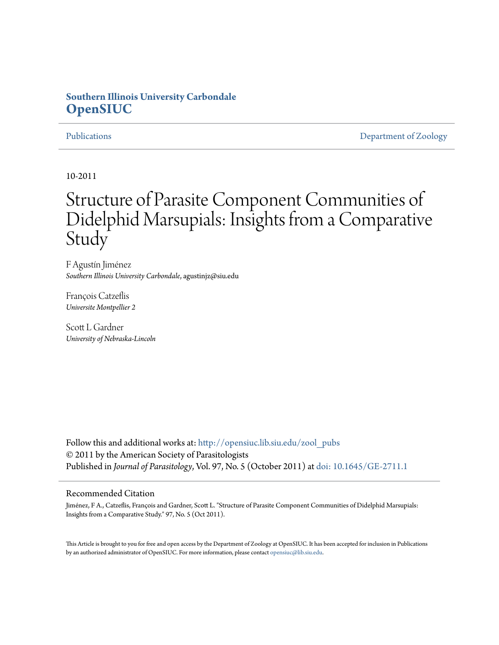# **Southern Illinois University Carbondale [OpenSIUC](http://opensiuc.lib.siu.edu?utm_source=opensiuc.lib.siu.edu%2Fzool_pubs%2F33&utm_medium=PDF&utm_campaign=PDFCoverPages)**

[Publications](http://opensiuc.lib.siu.edu/zool_pubs?utm_source=opensiuc.lib.siu.edu%2Fzool_pubs%2F33&utm_medium=PDF&utm_campaign=PDFCoverPages) **[Department of Zoology](http://opensiuc.lib.siu.edu/zool?utm_source=opensiuc.lib.siu.edu%2Fzool_pubs%2F33&utm_medium=PDF&utm_campaign=PDFCoverPages)** 

10-2011

# Structure of Parasite Component Communities of Didelphid Marsupials: Insights from a Comparative Study

F Agustín Jiménez *Southern Illinois University Carbondale*, agustinjz@siu.edu

François Catzeflis *Universite Montpellier 2*

Scott L Gardner *University of Nebraska-Lincoln*

Follow this and additional works at: [http://opensiuc.lib.siu.edu/zool\\_pubs](http://opensiuc.lib.siu.edu/zool_pubs?utm_source=opensiuc.lib.siu.edu%2Fzool_pubs%2F33&utm_medium=PDF&utm_campaign=PDFCoverPages) © 2011 by the American Society of Parasitologists Published in *Journal of Parasitology*, Vol. 97, No. 5 (October 2011) at [doi: 10.1645/GE-2711.1](http://dx.doi.org/10.1645/GE-2711.1)

### Recommended Citation

Jiménez, F A., Catzeflis, François and Gardner, Scott L. "Structure of Parasite Component Communities of Didelphid Marsupials: Insights from a Comparative Study." 97, No. 5 (Oct 2011).

This Article is brought to you for free and open access by the Department of Zoology at OpenSIUC. It has been accepted for inclusion in Publications by an authorized administrator of OpenSIUC. For more information, please contact [opensiuc@lib.siu.edu.](mailto:opensiuc@lib.siu.edu)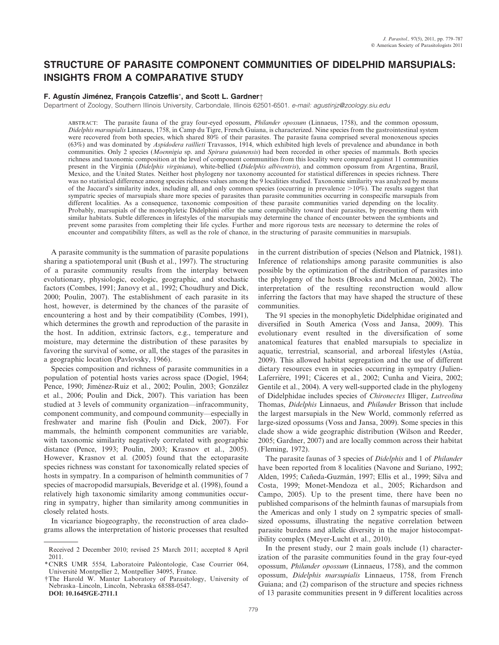## STRUCTURE OF PARASITE COMPONENT COMMUNITIES OF DIDELPHID MARSUPIALS: INSIGHTS FROM A COMPARATIVE STUDY

#### F. Agustín Jiménez, François Catzeflis\*, and Scott L. Gardner $\dagger$

Department of Zoology, Southern Illinois University, Carbondale, Illinois 62501-6501. e-mail: agustinjz@zoology.siu.edu

ABSTRACT: The parasite fauna of the gray four-eyed opossum, *Philander opossum* (Linnaeus, 1758), and the common opossum, Didelphis marsupialis Linnaeus, 1758, in Camp du Tigre, French Guiana, is characterized. Nine species from the gastrointestinal system were recovered from both species, which shared 80% of their parasites. The parasite fauna comprised several monoxenous species (63%) and was dominated by Aspidodera raillieti Travassos, 1914, which exhibited high levels of prevalence and abundance in both communities. Only 2 species (Moennigia sp. and Spirura guianensis) had been recorded in other species of mammals. Both species richness and taxonomic composition at the level of component communities from this locality were compared against 11 communities present in the Virginia (Didelphis virginiana), white-bellied (Didelphis albiventris), and common opossum from Argentina, Brazil, Mexico, and the United States. Neither host phylogeny nor taxonomy accounted for statistical differences in species richness. There was no statistical difference among species richness values among the 9 localities studied. Taxonomic similarity was analyzed by means of the Jaccard's similarity index, including all, and only common species (occurring in prevalence  $>10\%$ ). The results suggest that sympatric species of marsupials share more species of parasites than parasite communities occurring in conspecific marsupials from different localities. As a consequence, taxonomic composition of these parasite communities varied depending on the locality. Probably, marsupials of the monophyletic Didelphini offer the same compatibility toward their parasites, by presenting them with similar habitats. Subtle differences in lifestyles of the marsupials may determine the chance of encounter between the symbionts and prevent some parasites from completing their life cycles. Further and more rigorous tests are necessary to determine the roles of encounter and compatibility filters, as well as the role of chance, in the structuring of parasite communities in marsupials.

A parasite community is the summation of parasite populations sharing a spatiotemporal unit (Bush et al., 1997). The structuring of a parasite community results from the interplay between evolutionary, physiologic, ecologic, geographic, and stochastic factors (Combes, 1991; Janovy et al., 1992; Choudhury and Dick, 2000; Poulin, 2007). The establishment of each parasite in its host, however, is determined by the chances of the parasite of encountering a host and by their compatibility (Combes, 1991), which determines the growth and reproduction of the parasite in the host. In addition, extrinsic factors, e.g., temperature and moisture, may determine the distribution of these parasites by favoring the survival of some, or all, the stages of the parasites in a geographic location (Pavlovsky, 1966).

Species composition and richness of parasite communities in a population of potential hosts varies across space (Dogiel, 1964; Pence, 1990; Jiménez-Ruiz et al., 2002; Poulin, 2003; González et al., 2006; Poulin and Dick, 2007). This variation has been studied at 3 levels of community organization—infracommunity, component community, and compound community—especially in freshwater and marine fish (Poulin and Dick, 2007). For mammals, the helminth component communities are variable, with taxonomic similarity negatively correlated with geographic distance (Pence, 1993; Poulin, 2003; Krasnov et al., 2005). However, Krasnov et al. (2005) found that the ectoparasite species richness was constant for taxonomically related species of hosts in sympatry. In a comparison of helminth communities of 7 species of macropodid marsupials, Beveridge et al. (1998), found a relatively high taxonomic similarity among communities occurring in sympatry, higher than similarity among communities in closely related hosts.

In vicariance biogeography, the reconstruction of area cladograms allows the interpretation of historic processes that resulted in the current distribution of species (Nelson and Platnick, 1981). Inference of relationships among parasite communities is also possible by the optimization of the distribution of parasites into the phylogeny of the hosts (Brooks and McLennan, 2002). The interpretation of the resulting reconstruction would allow inferring the factors that may have shaped the structure of these communities.

The 91 species in the monophyletic Didelphidae originated and diversified in South America (Voss and Jansa, 2009). This evolutionary event resulted in the diversification of some anatomical features that enabled marsupials to specialize in aquatic, terrestrial, scansorial, and arboreal lifestyles (Astúa, 2009). This allowed habitat segregation and the use of different dietary resources even in species occurring in sympatry (Julien-Laferrière, 1991; Cáceres et al., 2002; Cunha and Vieira, 2002; Gentile et al., 2004). A very well-supported clade in the phylogeny of Didelphidae includes species of Chironectes Illiger, Lutreolina Thomas, Didelphis Linnaeus, and Philander Brisson that include the largest marsupials in the New World, commonly referred as large-sized opossums (Voss and Jansa, 2009). Some species in this clade show a wide geographic distribution (Wilson and Reeder, 2005; Gardner, 2007) and are locally common across their habitat (Fleming, 1972).

The parasite faunas of 3 species of Didelphis and 1 of Philander have been reported from 8 localities (Navone and Suriano, 1992; Alden, 1995; Cañeda-Guzmán, 1997; Ellis et al., 1999; Silva and Costa, 1999; Monet-Mendoza et al., 2005; Richardson and Campo, 2005). Up to the present time, there have been no published comparisons of the helminth faunas of marsupials from the Americas and only 1 study on 2 sympatric species of smallsized opossums, illustrating the negative correlation between parasite burdens and allelic diversity in the major histocompatibility complex (Meyer-Lucht et al., 2010).

In the present study, our 2 main goals include (1) characterization of the parasite communities found in the gray four-eyed opossum, Philander opossum (Linnaeus, 1758), and the common opossum, Didelphis marsupialis Linnaeus, 1758, from French Guiana; and (2) comparison of the structure and species richness of 13 parasite communities present in 9 different localities across

Received 2 December 2010; revised 25 March 2011; accepted 8 April 2011.

<sup>\*</sup>CNRS UMR 5554, Laboratoire Pale´ontologie, Case Courrier 064, Université Montpellier 2, Montpellier 34095, France.

<sup>{</sup>The Harold W. Manter Laboratory of Parasitology, University of Nebraska–Lincoln, Lincoln, Nebraska 68588-0547. DOI: 10.1645/GE-2711.1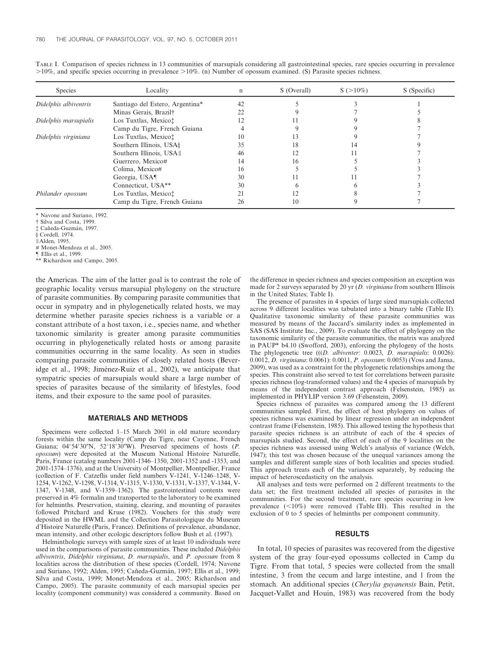| <b>Species</b>        | Locality                        | n  | S (Overall) | $S(>10\%)$ | S (Specific) |
|-----------------------|---------------------------------|----|-------------|------------|--------------|
| Didelphis albiventris | Santiago del Estero, Argentina* | 42 |             |            |              |
|                       | Minas Gerais, Brazil†           | 22 |             |            |              |
| Didelphis marsupialis | Los Tuxtlas, Mexicot            | 12 |             |            |              |
|                       | Camp du Tigre, French Guiana    |    |             |            |              |
| Didelphis virginiana  | Los Tuxtlas, Mexicot            | 10 | ١ź          |            |              |
|                       | Southern Illinois, USA§         | 35 | 18          |            |              |
|                       | Southern Illinois, USA          | 46 |             |            |              |
|                       | Guerrero, Mexico#               | 14 | 16          |            |              |
|                       | Colima, Mexico#                 | 16 |             |            |              |
|                       | Georgia, USA¶                   | 30 |             |            |              |
|                       | Connecticut, USA**              | 30 |             |            |              |
| Philander opossum     | Los Tuxtlas, Mexicot            | 21 |             |            |              |
|                       | Camp du Tigre, French Guiana    | 26 | 10          |            |              |

TABLE I. Comparison of species richness in 13 communities of marsupials considering all gastrointestinal species, rare species occurring in prevalence  $>10\%$ , and specific species occurring in prevalence  $>10\%$ . (n) Number of opossum examined. (S) Parasite species richness.

\* Navone and Suriano, 1992.

{ Silva and Costa, 1999.

Cañeda-Guzmán, 1997.

} Cordell, 1974.

 $\parallel$ Alden, 1995.

# Monet-Mendoza et al., 2005.  $\parallel$  Ellis et al., 1999.

\*\* Richardson and Campo, 2005.

the Americas. The aim of the latter goal is to contrast the role of geographic locality versus marsupial phylogeny on the structure of parasite communities. By comparing parasite communities that occur in sympatry and in phylogenetically related hosts, we may determine whether parasite species richness is a variable or a constant attribute of a host taxon, i.e., species name, and whether taxonomic similarity is greater among parasite communities occurring in phylogenetically related hosts or among parasite communities occurring in the same locality. As seen in studies comparing parasite communities of closely related hosts (Beveridge et al., 1998; Jiménez-Ruiz et al., 2002), we anticipate that sympatric species of marsupials would share a large number of species of parasites because of the similarity of lifestyles, food items, and their exposure to the same pool of parasites.

#### MATERIALS AND METHODS

Specimens were collected 1–15 March 2001 in old mature secondary forests within the same locality (Camp du Tigre, near Cayenne, French Guiana;  $04^{\circ}54'30''N$ ,  $52^{\circ}18'30''W$ ). Preserved specimens of hosts (P. opossum) were deposited at the Museum National Histoire Naturelle, Paris, France (catalog numbers 2001-1346–1350, 2001-1352 and -1353, and 2001-1374–1376), and at the University of Montpellier, Montpellier, France (collection of F. Catzeflis under field numbers V-1241, V-1246–1248, V-1254, V-1262, V-1298, V-1314, V-1315, V-1330, V-1331, V-1337, V-1344, V-1347, V-1348, and V-1359–1362). The gastrointestinal contents were preserved in 4% formalin and transported to the laboratory to be examined for helminths. Preservation, staining, clearing, and mounting of parasites followed Pritchard and Kruse (1982). Vouchers for this study were deposited in the HWML and the Collection Parasitologique du Museum d'Histoire Naturelle (Paris, France). Definitions of prevalence, abundance, mean intensity, and other ecologic descriptors follow Bush et al. (1997).

Helminthologic surveys with sample sizes of at least 10 individuals were used in the comparisons of parasite communities. These included Didelphis albiventris, Didelphis virginiana, D. marsupialis, and P. opossum from 8 localities across the distribution of these species (Cordell, 1974; Navone and Suriano, 1992; Alden, 1995; Cañeda-Guzmán, 1997; Ellis et al., 1999; Silva and Costa, 1999; Monet-Mendoza et al., 2005; Richardson and Campo, 2005). The parasite community of each marsupial species per locality (component community) was considered a community. Based on

the difference in species richness and species composition an exception was made for 2 surveys separated by 20 yr (D. virginiana from southern Illinois in the United States; Table I).

The presence of parasites in 4 species of large sized marsupials collected across 9 different localities was tabulated into a binary table (Table II). Qualitative taxonomic similarity of these parasite communities was measured by means of the Jaccard's similarity index as implemented in SAS (SAS Institute Inc., 2009). To evaluate the effect of phylogeny on the taxonomic similarity of the parasite communities, the matrix was analyzed in PAUP\* b4.10 (Swofford, 2003), enforcing the phylogeny of the hosts. The phylogenetic tree  $((D. \text{ *albiventer*: 0.0023, \n $D. \text{ *marsupialis*: 0.0026):$$ 0.0012, D. virginiana: 0.0061): 0.0011, P. opossum: 0.0053) (Voss and Jansa, 2009), was used as a constraint for the phylogenetic relationships among the species. This constraint also served to test for correlations between parasite species richness (log-transformed values) and the 4 species of marsupials by means of the independent contrast approach (Felsenstein, 1985) as implemented in PHYLIP version 3.69 (Felsenstein, 2009).

Species richness of parasites was compared among the 13 different communities sampled. First, the effect of host phylogeny on values of species richness was examined by linear regression under an independent contrast frame (Felsenstein, 1985). This allowed testing the hypothesis that parasite species richness is an attribute of each of the 4 species of marsupials studied. Second, the effect of each of the 9 localities on the species richness was assessed using Welch's analysis of variance (Welch, 1947); this test was chosen because of the unequal variances among the samples and different sample sizes of both localities and species studied. This approach treats each of the variances separately, by reducing the impact of heteroscedasticity on the analysis.

All analyses and tests were performed on 2 different treatments to the data set; the first treatment included all species of parasites in the communities. For the second treatment, rare species occurring in low prevalence  $(<10\%)$  were removed (Table III). This resulted in the exclusion of 0 to 5 species of helminths per component community.

#### RESULTS

In total, 10 species of parasites was recovered from the digestive system of the gray four-eyed opossums collected in Camp du Tigre. From that total, 5 species were collected from the small intestine, 3 from the cecum and large intestine, and 1 from the stomach. An additional species (Cherylia guyanensis Bain, Petit, Jacquet-Vallet and Houin, 1983) was recovered from the body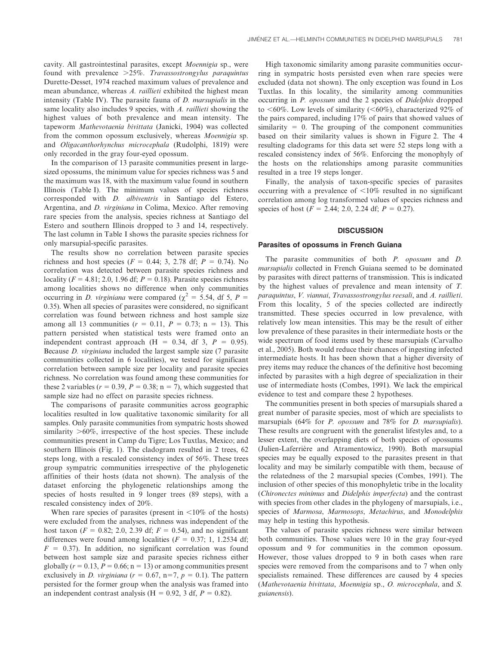cavity. All gastrointestinal parasites, except Moennigia sp., were found with prevalence  $>25\%$ . Travassostrongylus paraquintus Durette-Desset, 1974 reached maximum values of prevalence and mean abundance, whereas A. raillieti exhibited the highest mean intensity (Table IV). The parasite fauna of D. marsupialis in the same locality also includes 9 species, with A. *raillieti* showing the highest values of both prevalence and mean intensity. The tapeworm Mathevotaenia bivittata (Janicki, 1904) was collected from the common opossum exclusively, whereas Moennigia sp. and Oligacanthorhynchus microcephala (Rudolphi, 1819) were only recorded in the gray four-eyed opossum.

In the comparison of 13 parasite communities present in largesized opossums, the minimum value for species richness was 5 and the maximum was 18, with the maximum value found in southern Illinois (Table I). The minimum values of species richness corresponded with D. albiventris in Santiago del Estero, Argentina, and D. virginiana in Colima, Mexico. After removing rare species from the analysis, species richness at Santiago del Estero and southern Illinois dropped to 3 and 14, respectively. The last column in Table I shows the parasite species richness for only marsupial-specific parasites.

The results show no correlation between parasite species richness and host species ( $F = 0.44$ ; 3, 2.78 df;  $P = 0.74$ ). No correlation was detected between parasite species richness and locality ( $F = 4.81$ ; 2.0, 1.96 df;  $P = 0.18$ ). Parasite species richness among localities shows no difference when only communities occurring in D. virginiana were compared ( $\chi^2 = 5.54$ , df 5, P = 0.35). When all species of parasites were considered, no significant correlation was found between richness and host sample size among all 13 communities  $(r = 0.11, P = 0.73; n = 13)$ . This pattern persisted when statistical tests were framed onto an independent contrast approach (H = 0.34, df 3,  $P = 0.95$ ). Because D. virginiana included the largest sample size (7 parasite communities collected in 6 localities), we tested for significant correlation between sample size per locality and parasite species richness. No correlation was found among these communities for these 2 variables ( $r = 0.39$ ,  $P = 0.38$ ; n = 7), which suggested that sample size had no effect on parasite species richness.

The comparisons of parasite communities across geographic localities resulted in low qualitative taxonomic similarity for all samples. Only parasite communities from sympatric hosts showed similarity  $>60\%$ , irrespective of the host species. These include communities present in Camp du Tigre; Los Tuxtlas, Mexico; and southern Illinois (Fig. 1). The cladogram resulted in 2 trees, 62 steps long, with a rescaled consistency index of 56%. These trees group sympatric communities irrespective of the phylogenetic affinities of their hosts (data not shown). The analysis of the dataset enforcing the phylogenetic relationships among the species of hosts resulted in 9 longer trees (89 steps), with a rescaled consistency index of 20%.

When rare species of parasites (present in  $\langle 10\%$  of the hosts) were excluded from the analyses, richness was independent of the host taxon ( $F = 0.82$ ; 2.0, 2.39 df;  $F = 0.54$ ), and no significant differences were found among localities ( $F = 0.37$ ; 1, 1.2534 df;  $F = 0.37$ ). In addition, no significant correlation was found between host sample size and parasite species richness either globally ( $r = 0.13$ ,  $P = 0.66$ ; n = 13) or among communities present exclusively in D. virginiana ( $r = 0.67$ , n=7,  $p = 0.1$ ). The pattern persisted for the former group when the analysis was framed into an independent contrast analysis ( $H = 0.92$ , 3 df,  $P = 0.82$ ).

High taxonomic similarity among parasite communities occurring in sympatric hosts persisted even when rare species were excluded (data not shown). The only exception was found in Los Tuxtlas. In this locality, the similarity among communities occurring in P. opossum and the 2 species of Didelphis dropped to  $<60\%$ . Low levels of similarity ( $<60\%$ ), characterized 92% of the pairs compared, including 17% of pairs that showed values of similarity  $= 0$ . The grouping of the component communities based on their similarity values is shown in Figure 2. The 4 resulting cladograms for this data set were 52 steps long with a rescaled consistency index of 56%. Enforcing the monophyly of the hosts on the relationships among parasite communities resulted in a tree 19 steps longer.

Finally, the analysis of taxon-specific species of parasites occurring with a prevalence of  $\langle 10\%$  resulted in no significant correlation among log transformed values of species richness and species of host ( $F = 2.44$ ; 2.0, 2.24 df;  $P = 0.27$ ).

#### **DISCUSSION**

#### Parasites of opossums in French Guiana

The parasite communities of both P. opossum and D. marsupialis collected in French Guiana seemed to be dominated by parasites with direct patterns of transmission. This is indicated by the highest values of prevalence and mean intensity of T. paraquintus, V. viannai, Travassostrongylus reesali, and A. raillieti. From this locality, 5 of the species collected are indirectly transmitted. These species occurred in low prevalence, with relatively low mean intensities. This may be the result of either low prevalence of these parasites in their intermediate hosts or the wide spectrum of food items used by these marsupials (Carvalho et al., 2005). Both would reduce their chances of ingesting infected intermediate hosts. It has been shown that a higher diversity of prey items may reduce the chances of the definitive host becoming infected by parasites with a high degree of specialization in their use of intermediate hosts (Combes, 1991). We lack the empirical evidence to test and compare these 2 hypotheses.

The communities present in both species of marsupials shared a great number of parasite species, most of which are specialists to marsupials (64% for P. opossum and 78% for D. marsupialis). These results are congruent with the generalist lifestyles and, to a lesser extent, the overlapping diets of both species of opossums (Julien-Laferrière and Atramentowicz, 1990). Both marsupial species may be equally exposed to the parasites present in that locality and may be similarly compatible with them, because of the relatedness of the 2 marsupial species (Combes, 1991). The inclusion of other species of this monophyletic tribe in the locality (Chironectes minimus and Didelphis imperfecta) and the contrast with species from other clades in the phylogeny of marsupials, i.e., species of Marmosa, Marmosops, Metachirus, and Monodelphis may help in testing this hypothesis.

The values of parasite species richness were similar between both communities. Those values were 10 in the gray four-eyed opossum and 9 for communities in the common opossum. However, those values dropped to 9 in both cases when rare species were removed from the comparisons and to 7 when only specialists remained. These differences are caused by 4 species (Mathevotaenia bivittata, Moennigia sp., O. microcephala, and S. guianensis).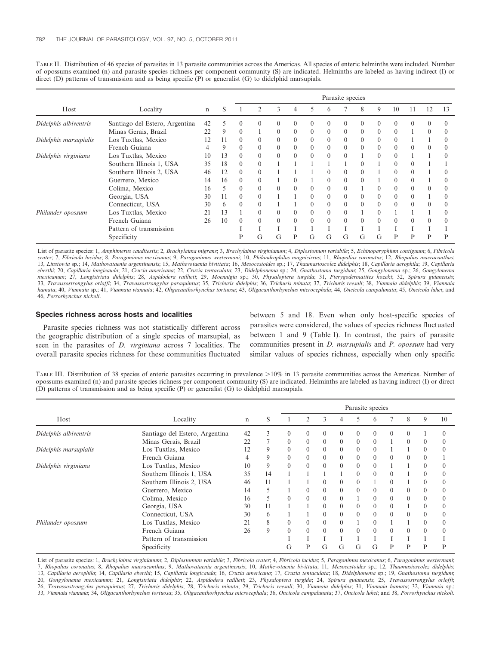| TABLE II. Distribution of 46 species of parasites in 13 parasite communities across the Americas. All species of enteric helminths were included. Number |
|----------------------------------------------------------------------------------------------------------------------------------------------------------|
| of opossums examined (n) and parasite species richness per component community (S) are indicated. Helminths are labeled as having indirect (I) or        |
| direct (D) patterns of transmission and as being specific (P) or generalist (G) to didelphid marsupials.                                                 |

|                       |                                |    |    | Parasite species |          |          |                |          |                |          |              |          |          |          |          |          |
|-----------------------|--------------------------------|----|----|------------------|----------|----------|----------------|----------|----------------|----------|--------------|----------|----------|----------|----------|----------|
| Host                  | Locality                       | n  | S  |                  |          | 3        | 4              | 5        | 6              |          | 8            | 9        | 10       |          | 12       | 13       |
| Didelphis albiventris | Santiago del Estero, Argentina | 42 |    | $\Omega$         | $\theta$ | $\theta$ | $\theta$       | $\theta$ | $\theta$       | $\theta$ | $\theta$     | $\theta$ | $\theta$ | $\Omega$ | $\Omega$ |          |
|                       | Minas Gerais, Brazil           | 22 | 9  | $\theta$         |          | $\theta$ | $\overline{0}$ | $\theta$ | $\overline{0}$ | $\theta$ | $\mathbf{0}$ | $\theta$ | $\Omega$ |          | $\Omega$ | $\Omega$ |
| Didelphis marsupialis | Los Tuxtlas, Mexico            |    |    | $\theta$         | $\Omega$ | $\theta$ | $\theta$       | $\theta$ | $\theta$       | $\theta$ | $\theta$     | $\theta$ | $\Omega$ |          |          |          |
|                       | French Guiana                  | 4  | 9  | $\theta$         | $\Omega$ | $\theta$ | $\theta$       | $\theta$ | $\theta$       | $\theta$ | $\theta$     | $\theta$ | $\theta$ | $\Omega$ | $\Omega$ | $\Omega$ |
| Didelphis virginiana  | Los Tuxtlas, Mexico            | 10 | 13 | $\Omega$         | $\theta$ | $\Omega$ | $\theta$       | $\Omega$ | $\theta$       | $\Omega$ |              | $\Omega$ | $\Omega$ |          |          |          |
|                       | Southern Illinois 1, USA       | 35 | 18 | $\Omega$         | $\theta$ |          |                |          |                |          | $\Omega$     |          | $\Omega$ | $\Omega$ |          |          |
|                       | Southern Illinois 2, USA       | 46 | 12 | $\Omega$         | $\Omega$ |          |                |          | $\theta$       | $\Omega$ | $\Omega$     |          | $\Omega$ | $\Omega$ |          |          |
|                       | Guerrero, Mexico               | 14 | 16 | $\Omega$         | $\Omega$ |          | $\theta$       |          | $\theta$       | $\theta$ | $\theta$     |          | $\theta$ | $\Omega$ |          | $\Omega$ |
|                       | Colima, Mexico                 | 16 | 5. | $\theta$         | $\theta$ | $\Omega$ | $\Omega$       | $\theta$ | $\theta$       | $\Omega$ |              | $\Omega$ | $\theta$ | $\Omega$ | $\Omega$ | $\Omega$ |
|                       | Georgia, USA                   | 30 | 11 | $\Omega$         | $\Omega$ |          |                | $\Omega$ | $\theta$       | $\Omega$ | $\theta$     | $\Omega$ | $\Omega$ | $\Omega$ |          | $\Omega$ |
|                       | Connecticut, USA               | 30 | 6  | $\Omega$         | $\theta$ |          |                | $\Omega$ | $\theta$       | $\Omega$ | $\theta$     | $\Omega$ | $\Omega$ | $\Omega$ | $\Omega$ | $\Omega$ |
| Philander opossum     | Los Tuxtlas, Mexico            | 21 | 13 |                  | $\Omega$ | $\Omega$ | $\Omega$       | $\Omega$ | $\theta$       | $\Omega$ |              | $\Omega$ |          |          |          |          |
|                       | French Guiana                  | 26 | 10 | $\Omega$         | $\theta$ | $\Omega$ | $\Omega$       | $\Omega$ | $\theta$       | $\Omega$ | $\Omega$     | $\Omega$ | $\Omega$ | $\Omega$ | $\Omega$ | $\Omega$ |
|                       | Pattern of transmission        |    |    |                  |          |          |                |          |                |          |              |          |          |          |          |          |
|                       | Specificity                    |    |    |                  | G        | G        | P              | G        | G              | G        | G            | G        | P        | P        | P        | P        |

List of parasite species: 1, Amphimerus cauditestis; 2, Brachylaima migrans; 3, Brachylaima virginianum; 4, Diplostomum variabile; 5, Echinoparyphium contiguum; 6, Fibricola crater; 7, Fibricola lucidus; 8, Paragonimus mexicanus; 9, Paragonimus westermani; 10, Philandrophilus magnicirrus; 11, Rhopalias coronatus; 12, Rhopalias macracanthus; 13, Linstowia sp.; 14, Mathovataenia argentinensis; 15, Mathevotaenia bivittata; 16, Mesocestoides sp.; 17, Thaumasioscolez didelphis; 18, Capillaria aerophila; 19, Capillaria eberthi; 20, Capillaria longicauda; 21, Cruzia americana; 22, Cruzia tentaculata; 23, Didelphonema sp.; 24, Gnathostoma turgidum; 25, Gongylonema sp.; 26, Gongylonema mexicanum; 27, Longistriata didelphis; 28, Aspidodera raillieti; 29, Moennigia sp.; 30, Physaloptera turgida; 31, Pterygodermatites kozeki; 32, Spirura guianensis; 33, Travassostrongylus orloffi; 34, Travassostrongylus paraquintus; 35, Trichuris didelphis; 36, Trichuris minuta; 37, Trichuris reesali; 38, Viannaia didelphis; 39, Viannaia hamata; 40, Viannaia sp.; 41, Viannaia viannaia; 42, Oligacanthorhynchus tortuosa; 43, Oligacanthorhynchus microcephala; 44, Oncicola campalunata; 45, Oncicola luhei; and 46, Porrorhynchus nickoli.

#### Species richness across hosts and localities

Parasite species richness was not statistically different across the geographic distribution of a single species of marsupial, as seen in the parasites of D. virginiana across 7 localities. The overall parasite species richness for these communities fluctuated

between 5 and 18. Even when only host-specific species of parasites were considered, the values of species richness fluctuated between 1 and 9 (Table I). In contrast, the pairs of parasite communities present in *D. marsupialis* and *P. opossum* had very similar values of species richness, especially when only specific

TABLE III. Distribution of 38 species of enteric parasites occurring in prevalence >10% in 13 parasite communities across the Americas. Number of opossums examined (n) and parasite species richness per component community (S) are indicated. Helminths are labeled as having indirect (I) or direct (D) patterns of transmission and as being specific (P) or generalist (G) to didelphid marsupials.

|                       | Parasite species               |             |    |          |          |          |          |          |              |          |          |                |    |
|-----------------------|--------------------------------|-------------|----|----------|----------|----------|----------|----------|--------------|----------|----------|----------------|----|
| Host                  | Locality                       | $\mathbf n$ | S  |          |          | 3        |          |          | <sub>(</sub> |          | 8        | 9              | 10 |
| Didelphis albiventris | Santiago del Estero, Argentina | 42          | 3  | $\theta$ | $\Omega$ | $\Omega$ | $\Omega$ | $\theta$ | $\theta$     | $\theta$ | $\theta$ |                |    |
|                       | Minas Gerais, Brazil           | 22          |    | $\Omega$ | $\Omega$ | $\Omega$ | $\Omega$ | $\theta$ | $\Omega$     |          | $\theta$ | $\theta$       |    |
| Didelphis marsupialis | Los Tuxtlas, Mexico            | 12          | 9  | $\Omega$ | $\Omega$ | $\Omega$ | $\Omega$ | $\theta$ | $\Omega$     |          |          | $\theta$       |    |
|                       | French Guiana                  | 4           | 9  | $\Omega$ | $\Omega$ | $\Omega$ | $\Omega$ | $\theta$ | $\Omega$     | $\Omega$ | $\Omega$ | $\theta$       |    |
| Didelphis virginiana  | Los Tuxtlas, Mexico            | 10          | 9  | $\Omega$ | $\Omega$ | $\Omega$ | $\Omega$ | $\theta$ | $\Omega$     |          |          | $\theta$       |    |
|                       | Southern Illinois 1, USA       | 35          | 14 |          |          |          |          | $\Omega$ | $\Omega$     | $\Omega$ |          | $\Omega$       |    |
|                       | Southern Illinois 2, USA       | 46          | 11 |          |          | $\Omega$ | $\Omega$ | $\Omega$ |              | $\Omega$ |          | $\theta$       |    |
|                       | Guerrero, Mexico               | 14          | 5  |          | $\Omega$ | $\Omega$ | $\Omega$ | $\theta$ | $\Omega$     | $\theta$ | $\theta$ | $\overline{0}$ |    |
|                       | Colima, Mexico                 | 16          | 5  | $\Omega$ | $\Omega$ | $\Omega$ | $\Omega$ |          | $\Omega$     | $\Omega$ | $\Omega$ | $\theta$       |    |
|                       | Georgia, USA                   | 30          |    |          |          | $\Omega$ | $\Omega$ | $\Omega$ | $\Omega$     | $\theta$ |          | $\theta$       |    |
|                       | Connecticut, USA               | 30          | 6  |          |          | $\Omega$ | $\Omega$ | $\Omega$ | $\Omega$     | $\Omega$ | $\Omega$ | $\theta$       |    |
| Philander opossum     | Los Tuxtlas, Mexico            | 21          | 8  |          | $\Omega$ | $\Omega$ | $\Omega$ |          | $\Omega$     |          |          | $\theta$       |    |
|                       | French Guiana                  | 26          | 9  | $\Omega$ | $\Omega$ | $\Omega$ | $\Omega$ | $\Omega$ | $\Omega$     | $\Omega$ | $\Omega$ | $\theta$       |    |
|                       | Pattern of transmission        |             |    |          |          |          |          |          |              |          |          |                |    |
|                       | Specificity                    |             |    | G        |          | G        | G        | G        | G            | P        | D        | D              | D  |

List of parasite species: 1, Brachylaima virginianum; 2, Diplostomum variabile; 3, Fibricola crater; 4, Fibricola lucidus; 5, Paragonimus mexicanus; 6, Paragonimus westermani;

7, Rhopalias coronatus; 8, Rhopalias macracanthus; 9, Mathovataenia argentinensis; 10, Mathevotaenia bivittata; 11, Mesocestoides sp.; 12, Thaumasioscolez didelphis;

13, Capillaria aerophila; 14, Capillaria eberthi; 15, Capillaria longicauda; 16, Cruzia americana; 17, Cruzia tentaculata; 18, Didelphonema sp.; 19, Gnathostoma turgidum; 20, Gongylonema mexicanum; 21, Longistriata didelphis; 22, Aspidodera raillieti; 23, Physaloptera turgida; 24, Spirura guianensis; 25, Travassostrongylus orloffi; 26, Travassostrongylus paraquintus; 27, Trichuris didelphis; 28, Trichuris minuta; 29, Trichuris reesali; 30, Viannaia didelphis; 31, Viannaia hamata; 32, Viannaia sp.;

33, Viannaia viannaia; 34, Oligacanthorhynchus tortuosa; 35, Oligacanthorhynchus microcephala; 36, Oncicola campalunata; 37, Oncicola luhei; and 38, Porrorhynchus nickoli.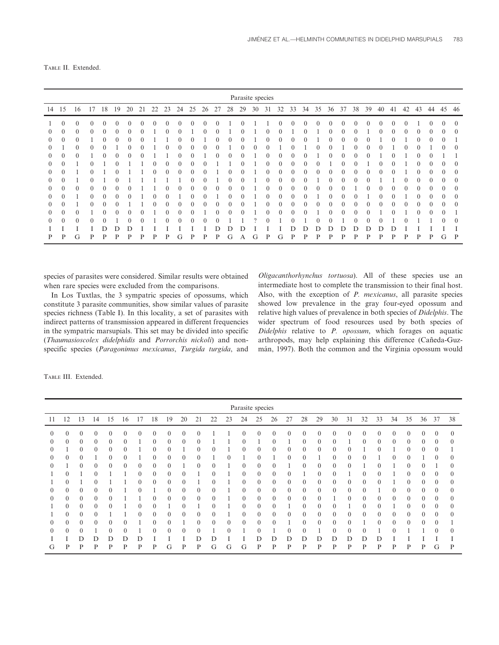TABLE II. Extended.

|                  | Parasite species |              |          |          |          |          |          |    |              |          |          |          |              |          |          |    |                |                  |              |    |              |              |          |    |              |          |          |          |                |          |          |                |
|------------------|------------------|--------------|----------|----------|----------|----------|----------|----|--------------|----------|----------|----------|--------------|----------|----------|----|----------------|------------------|--------------|----|--------------|--------------|----------|----|--------------|----------|----------|----------|----------------|----------|----------|----------------|
| 14               | 15               | 16           | 17       | 18       | 19       | 20       | 21       | 22 | 23           | 24       | 25       | 26       | 27           | 28       | 29       | 30 | 31             | 32               | 33           | 34 | 35           | 36           | 37       | 38 | 39           | 40       | 41       | 42       | 43             | 44       | 45       | -46            |
|                  | $\mathbf{0}$     | $\mathbf{0}$ | 0        | $\theta$ | 0        | $\Omega$ | $\Omega$ | 0  | $\mathbf{0}$ | $\theta$ | $\theta$ | $\Omega$ | $\theta$     |          |          |    |                | 0                | $\theta$     | 0  | $\mathbf{0}$ | $\Omega$     | $\theta$ | 0  | $\theta$     | $\Omega$ | $\theta$ |          |                | $\theta$ | $\theta$ | $\overline{0}$ |
| 0                | $\mathbf{0}$     | $\mathbf{0}$ | 0        |          | 0        |          | $\theta$ |    | 0            |          |          | 0        | $\theta$     |          | $\Omega$ |    | 0              | 0                |              |    |              | 0            |          |    |              | 0        |          |          | $\theta$       | $\theta$ | $\theta$ | $\overline{0}$ |
| $\overline{0}$   | $\mathbf{0}$     | $\mathbf{0}$ |          |          | 0        |          | $\theta$ |    |              | $\theta$ |          |          | $\theta$     | $\theta$ | $\Omega$ |    | $\theta$       | $\boldsymbol{0}$ | $\theta$     |    |              | 0            | $\Omega$ |    | $\theta$     |          | $\Omega$ |          | $\Omega$       | $\theta$ | $\theta$ |                |
| $\left( \right)$ |                  | $\Omega$     | $\theta$ |          |          |          | $\theta$ |    | 0            | $\theta$ | $\theta$ |          | $\theta$     |          | $\Omega$ |    | $\theta$       |                  | $\theta$     |    | $\theta$     | 0            |          |    | $\theta$     |          |          |          | $\Omega$       |          | $\theta$ | $\overline{0}$ |
| $\overline{0}$   | $\theta$         | $\theta$     |          |          | $\theta$ | $\Omega$ | $\theta$ |    |              | $\theta$ | 0        |          | $\theta$     | 0        | $\theta$ |    | $\theta$       | 0                | $\theta$     |    |              | 0            | $\Omega$ |    | $\Omega$     |          | $\Omega$ |          | $\Omega$       | $\theta$ |          |                |
| $\overline{0}$   | $\mathbf{0}$     |              | $\theta$ |          | $\theta$ |          |          |    | $\theta$     | $\theta$ | 0        |          |              |          |          |    | $\Omega$       | 0                | 0            |    | $\theta$     |              |          |    |              |          |          |          | $\overline{0}$ | 0        | $\theta$ | $\overline{0}$ |
| 0                | $\theta$         |              | $\theta$ |          | $\theta$ |          |          |    | $\Omega$     | $\theta$ | $\theta$ |          |              | $\theta$ | $\theta$ |    | $\Omega$       | 0                | 0            |    | $\theta$     | $\theta$     | $\Omega$ |    | $\theta$     |          | $\theta$ |          | $\Omega$       | $\theta$ | $\theta$ | $\overline{0}$ |
| 0                | $\theta$         |              | 0        |          | $\theta$ |          |          |    |              |          | 0        | 0        |              | $\theta$ | $\Omega$ |    | $\Omega$       | 0                | $\theta$     |    |              | $\Omega$     | $\Omega$ |    | $\theta$     |          |          |          | $\theta$       | $\theta$ | $\theta$ | $\overline{0}$ |
| $\overline{0}$   | $\mathbf{0}$     | $\theta$     | $\theta$ |          | $\theta$ |          |          |    | 0            | $\theta$ | $\theta$ | 0        | $\theta$     | $\theta$ | $\Omega$ |    | $\Omega$       | 0                | $\theta$     |    | $\mathbf{0}$ | $\Omega$     | $\Omega$ |    | $\theta$     | 0        | $\Omega$ | 0        | $\overline{0}$ | $\theta$ | $\theta$ | $\overline{0}$ |
| 0                | $\theta$         |              | $\theta$ | $\theta$ | $\theta$ |          |          |    | $\theta$     |          | $\Omega$ | 0        |              | 0        | $\theta$ |    | $\theta$       | 0                | $\theta$     |    |              | $\Omega$     | $\theta$ |    |              | $\theta$ | $\theta$ |          | $\theta$       | $\theta$ | $\theta$ | $\overline{0}$ |
| 0                | $\mathbf{0}$     |              | 0        | 0        | $\theta$ |          |          |    | $\mathbf{0}$ | $\theta$ | $\Omega$ | $\Omega$ | $\mathbf{0}$ | $\theta$ | $\theta$ |    | $\overline{0}$ | 0                | $\mathbf{0}$ | 0  | $\mathbf{0}$ | $\mathbf{0}$ | $\theta$ | 0  | $\mathbf{0}$ | $\Omega$ | $\theta$ | $\Omega$ | $\overline{0}$ | $\theta$ | $\theta$ | $\overline{0}$ |
| 0                | $\mathbf{0}$     | $\theta$     |          | 0        | $\theta$ | $\Omega$ | $\Omega$ |    | $\mathbf{0}$ | $\theta$ | $\Omega$ |          | $\mathbf{0}$ | $\theta$ | $\theta$ |    | $\Omega$       | $\theta$         | $\theta$     |    |              | $\theta$     | $\theta$ | 0  | $\mathbf{0}$ |          | $\theta$ |          | $\theta$       | $\theta$ | $\theta$ |                |
| $\left( \right)$ | $\theta$         | $\theta$     | $\theta$ |          |          |          | $\Omega$ |    | $\Omega$     | $\theta$ | $\Omega$ | 0        | $\theta$     |          |          |    | $\theta$       |                  |              |    | $\theta$     | 0            |          |    | $\theta$     |          |          |          |                |          | $\theta$ | $\overline{0}$ |
|                  |                  |              |          | D        | D        | D        |          |    |              |          |          |          | D            | D        | D        |    |                |                  | D            | D  | D            | D            | D        | D  | D            | D        |          |          |                |          |          |                |
| P                | P                | G            | р        | р        | р        | р        |          | р  | р            | G        | P        | P        | P            | G        | А        | G  | р              | G                | р            | p  | D            | р            | P        | P  | P            | P        | P        | P        | D              | P        | G        | $\mathbf{P}$   |

species of parasites were considered. Similar results were obtained when rare species were excluded from the comparisons.

In Los Tuxtlas, the 3 sympatric species of opossums, which constitute 3 parasite communities, show similar values of parasite species richness (Table I). In this locality, a set of parasites with indirect patterns of transmission appeared in different frequencies in the sympatric marsupials. This set may be divided into specific (Thaumasioscolex didelphidis and Porrorchis nickoli) and nonspecific species (Paragonimus mexicanus, Turgida turgida, and Oligacanthorhynchus tortuosa). All of these species use an intermediate host to complete the transmission to their final host. Also, with the exception of P. mexicanus, all parasite species showed low prevalence in the gray four-eyed opossum and relative high values of prevalence in both species of Didelphis. The wider spectrum of food resources used by both species of Didelphis relative to P. opossum, which forages on aquatic arthropods, may help explaining this difference (Cañeda-Guzmán, 1997). Both the common and the Virginia opossum would

TABLE III. Extended.

|          | Parasite species |                |                  |              |          |                  |                |              |                |          |              |                |                |                  |                |                |              |              |                |              |                |                |                |              |                  |          |              |
|----------|------------------|----------------|------------------|--------------|----------|------------------|----------------|--------------|----------------|----------|--------------|----------------|----------------|------------------|----------------|----------------|--------------|--------------|----------------|--------------|----------------|----------------|----------------|--------------|------------------|----------|--------------|
| 11       | 12               | 13             | 14               | 15           | 16       | 17               | 18             | 19           | 20             | 21       | 22           | 23             | 24             | 25               | 26             | 27             | 28           | 29           | 30             | 31           | 32             | 33             | 34             | 35           | 36               | 37       | 38           |
|          | $\theta$         | $\theta$       | 0                | $\Omega$     | 0        |                  | $\Omega$       | $\Omega$     |                | 0        |              |                | $\Omega$       | $\theta$         |                |                | 0            | $\Omega$     | 0              | $\theta$     |                | 0              | $\Omega$       |              | $\theta$         | $\theta$ | $\theta$     |
| $\Omega$ | $\theta$         | $\left($       | $\theta$         | $\mathbf{0}$ | $\Omega$ |                  | $\Omega$       | $\mathbf{0}$ | $\Omega$       | $\theta$ |              |                | $\overline{0}$ |                  | $\overline{0}$ |                | $\mathbf{0}$ | $\theta$     | $\theta$       |              | $\Omega$       | $\theta$       | $\mathbf{0}$   | $\Omega$     | $\theta$         | $\Omega$ | $\theta$     |
|          |                  | $\overline{0}$ | $\boldsymbol{0}$ | $\mathbf{0}$ | $\theta$ |                  | $\Omega$       | $\mathbf{0}$ |                | $\theta$ | $\mathbf{0}$ |                | $\overline{0}$ | $\mathbf{0}$     | $\overline{0}$ | $\theta$       | $\mathbf{0}$ | $\mathbf{0}$ | $\mathbf{0}$   | $\mathbf{0}$ |                | $\theta$       |                | $\mathbf{0}$ | $\theta$         | $\theta$ |              |
| $\theta$ | $\theta$         | $\theta$       |                  | $\mathbf{0}$ | $\theta$ |                  | $\mathbf{0}$   | $\mathbf{0}$ | $\theta$       | $\theta$ |              | $\Omega$       |                | $\boldsymbol{0}$ |                | $\Omega$       | $\mathbf{0}$ |              | $\mathbf{0}$   | $\mathbf{0}$ | $\overline{0}$ |                | $\overline{0}$ | $\mathbf{0}$ |                  | $\theta$ | $\mathbf{0}$ |
| $\Omega$ |                  | $\theta$       | $\theta$         | $\Omega$     | $\theta$ | 0                | $\theta$       | $\mathbf{0}$ |                | $\theta$ | $\theta$     |                | $\Omega$       | $\Omega$         | $\overline{0}$ |                | $\theta$     | $\theta$     | $\theta$       | $\theta$     |                | $\theta$       |                | $\Omega$     | $\theta$         |          | $\Omega$     |
|          | $\theta$         |                | $\theta$         |              |          | $\overline{0}$   | $\theta$       | $\mathbf{0}$ | $\Omega$       |          | $\mathbf{0}$ |                | $\overline{0}$ | $\mathbf{0}$     | $\overline{0}$ | $\theta$       |              | $\theta$     | $\theta$       |              | $\Omega$       | $\Omega$       |                | $\Omega$     | $\theta$         | $\theta$ | $\theta$     |
|          | $\theta$         |                | 0                |              |          | $\overline{0}$   | $\overline{0}$ | $\mathbf{0}$ | 0              |          | $\mathbf{0}$ |                | $\overline{0}$ | $\mathbf{0}$     | $\overline{0}$ | $\overline{0}$ | $\mathbf{0}$ | $\mathbf{0}$ | $\overline{0}$ | $\mathbf{0}$ | $\overline{0}$ | $\overline{0}$ |                | $\mathbf{0}$ | $\boldsymbol{0}$ | $\Omega$ | $\mathbf{0}$ |
|          | $\theta$         | $\overline{0}$ | $\boldsymbol{0}$ | $\mathbf{0}$ |          | 0                |                | $\mathbf{0}$ | $\overline{0}$ | $\theta$ | $\mathbf{0}$ |                | $\overline{0}$ | $\mathbf{0}$     | $\overline{0}$ | $\overline{0}$ | $\mathbf{0}$ | $\mathbf{0}$ | $\theta$       | $\mathbf{0}$ | $\overline{0}$ |                | $\overline{0}$ | $\mathbf{0}$ | $\boldsymbol{0}$ | $\theta$ | $\mathbf{0}$ |
|          | $\left($         | $\overline{0}$ | 0                | $\mathbf{0}$ |          |                  | $\mathbf{0}$   | $\mathbf{0}$ | $\overline{0}$ | $\theta$ | $\mathbf{0}$ |                | $\overline{0}$ | $\mathbf{0}$     | $\overline{0}$ | $\overline{0}$ | $\mathbf{0}$ | $\theta$     |                | $\mathbf{0}$ | $\overline{0}$ | $\overline{0}$ | $\overline{0}$ | $\mathbf{0}$ | 0                | $\theta$ | $\theta$     |
|          | $\theta$         | $\overline{0}$ | $\boldsymbol{0}$ | $\mathbf{0}$ |          | $\overline{0}$   | $\theta$       |              | $\theta$       |          | $\mathbf{0}$ |                | $\overline{0}$ | $\mathbf{0}$     | $\overline{0}$ |                | $\mathbf{0}$ | $\mathbf{0}$ | $\theta$       |              | $\overline{0}$ | $\Omega$       |                | $\mathbf{0}$ | $\boldsymbol{0}$ | $\theta$ | $\mathbf{0}$ |
|          | $\mathbf{0}$     | $\overline{0}$ | $\theta$         |              |          | $\boldsymbol{0}$ | $\overline{0}$ | $\mathbf{0}$ | $\overline{0}$ | $\theta$ | $\mathbf{0}$ |                | $\overline{0}$ | $\mathbf{0}$     | $\overline{0}$ | $\overline{0}$ | $\mathbf{0}$ | $\mathbf{0}$ | $\theta$       | $\mathbf{0}$ | $\overline{0}$ | $\overline{0}$ | $\overline{0}$ | $\mathbf{0}$ | $\boldsymbol{0}$ | $\theta$ | $\theta$     |
|          | $\left($         | $\overline{0}$ | $\theta$         | $\mathbf{0}$ | $\theta$ |                  | $\mathbf{0}$   | $\mathbf{0}$ |                | $\theta$ | $\mathbf{0}$ | $\overline{0}$ | $\mathbf{0}$   | $\mathbf{0}$     | $\overline{0}$ |                | $\mathbf{0}$ | $\mathbf{0}$ | $\theta$       | $\theta$     |                | $\overline{0}$ | $\overline{0}$ | $\theta$     | $\theta$         | $\Omega$ |              |
|          | $\theta$         | $\theta$       |                  | $\Omega$     | U        |                  | $\theta$       | 0            | 0              | $\theta$ |              | 0              |                | $\theta$         |                | $\Omega$       | $\mathbf{0}$ |              | $\mathbf{0}$   | $\Omega$     | 0              |                | $\theta$       |              |                  | $\theta$ | $\theta$     |
|          |                  | D              | D                | D            | D        | D                |                |              |                | D        | D            |                |                | D                | D              | D              | D            | D            | D              | D            | D              | D              |                |              |                  |          |              |
| G        | P                | P              | P                | P            | P        | P                | P              | Ü            | P              | P        | G            | G              | G              | P                | P              | P              | P            | Р            | P              | P            | Р              | P              | P              | Р            | P                | G        | P            |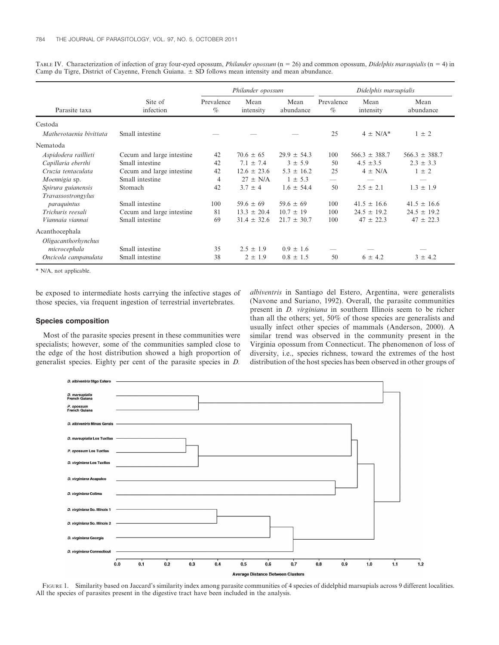|                         |                           |                    | Philander opossum |                   |                    | Didelphis marsupialis |                   |
|-------------------------|---------------------------|--------------------|-------------------|-------------------|--------------------|-----------------------|-------------------|
| Parasite taxa           | Site of<br>infection      | Prevalence<br>$\%$ | Mean<br>intensity | Mean<br>abundance | Prevalence<br>$\%$ | Mean<br>intensity     | Mean<br>abundance |
| Cestoda                 |                           |                    |                   |                   |                    |                       |                   |
| Mathevotaenia hivittata | Small intestine           |                    |                   |                   | 25                 | $4 \pm N/A^*$         | $1 \pm 2$         |
| Nematoda                |                           |                    |                   |                   |                    |                       |                   |
| Aspidodera raillieti    | Cecum and large intestine | 42                 | $70.6 \pm 65$     | $29.9 \pm 54.3$   | 100                | $566.3 \pm 388.7$     | $566.3 \pm 388.7$ |
| Capillaria eberthi      | Small intestine           | 42                 | $7.1 \pm 7.4$     | $3 \pm 5.9$       | 50                 | $4.5 \pm 3.5$         | $2.3 \pm 3.3$     |
| Cruzia tentaculata      | Cecum and large intestine | 42                 | $12.6 \pm 23.6$   | $5.3 \pm 16.2$    | 25                 | $4 \pm N/A$           | $1 \pm 2$         |
| Moennigia sp.           | Small intestine           | $\overline{4}$     | 27<br>$\pm$ N/A   | $1 \pm 5.3$       |                    |                       |                   |
| Spirura guianensis      | Stomach                   | 42                 | $3.7 \pm 4$       | $1.6 \pm 54.4$    | 50                 | $2.5 \pm 2.1$         | $1.3 \pm 1.9$     |
| Travassostrongylus      |                           |                    |                   |                   |                    |                       |                   |
| paraquintus             | Small intestine           | 100                | $59.6 \pm 69$     | $59.6 \pm 69$     | 100                | $41.5 \pm 16.6$       | $41.5 \pm 16.6$   |
| Trichuris reesali       | Cecum and large intestine | 81                 | $13.3 \pm 20.4$   | $10.7 \pm 19$     | 100                | $24.5 \pm 19.2$       | $24.5 \pm 19.2$   |
| Viannaia viannai        | Small intestine           | 69                 | $31.4 \pm 32.6$   | $21.7 \pm 30.7$   | 100                | $47 \pm 22.3$         | $47 \pm 22.3$     |
| Acanthocephala          |                           |                    |                   |                   |                    |                       |                   |
| Oligacanthorhynchus     |                           |                    |                   |                   |                    |                       |                   |
| microcephala            | Small intestine           | 35                 | $2.5 \pm 1.9$     | $0.9 \pm 1.6$     |                    |                       |                   |
| Oncicola campanulata    | Small intestine           | 38                 | $2 \pm 1.9$       | $0.8 \pm 1.5$     | 50                 | $6 \pm 4.2$           | $3 \pm 4.2$       |

TABLE IV. Characterization of infection of gray four-eyed opossum, *Philander opossum* ( $n = 26$ ) and common opossum, *Didelphis marsupialis* ( $n = 4$ ) in Camp du Tigre, District of Cayenne, French Guiana. ± SD follows mean intensity and mean abundance.

\* N/A, not applicable.

be exposed to intermediate hosts carrying the infective stages of those species, via frequent ingestion of terrestrial invertebrates.

#### Species composition

Most of the parasite species present in these communities were specialists; however, some of the communities sampled close to the edge of the host distribution showed a high proportion of generalist species. Eighty per cent of the parasite species in D.

albiventris in Santiago del Estero, Argentina, were generalists (Navone and Suriano, 1992). Overall, the parasite communities present in D. virginiana in southern Illinois seem to be richer than all the others; yet, 50% of those species are generalists and usually infect other species of mammals (Anderson, 2000). A similar trend was observed in the community present in the Virginia opossum from Connecticut. The phenomenon of loss of diversity, i.e., species richness, toward the extremes of the host distribution of the host species has been observed in other groups of



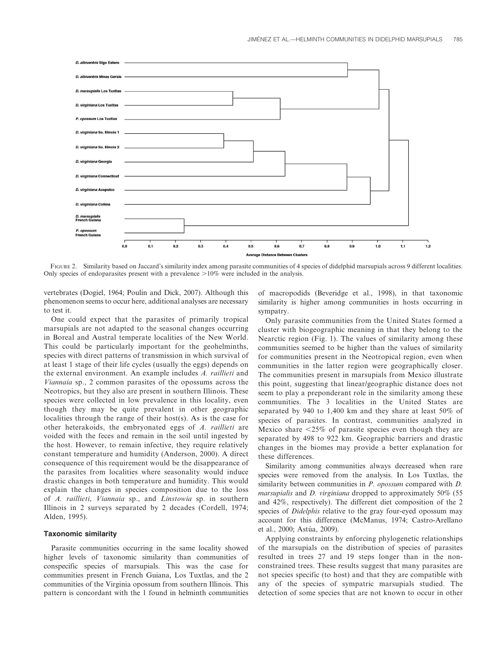

FIGURE 2. Similarity based on Jaccard's similarity index among parasite communities of 4 species of didelphid marsupials across 9 different localities. Only species of endoparasites present with a prevalence  $>10\%$  were included in the analysis.

vertebrates (Dogiel, 1964; Poulin and Dick, 2007). Although this phenomenon seems to occur here, additional analyses are necessary to test it.

One could expect that the parasites of primarily tropical marsupials are not adapted to the seasonal changes occurring in Boreal and Austral temperate localities of the New World. This could be particularly important for the geohelminths, species with direct patterns of transmission in which survival of at least 1 stage of their life cycles (usually the eggs) depends on the external environment. An example includes A. raillieti and Viannaia sp., 2 common parasites of the opossums across the Neotropics, but they also are present in southern Illinois. These species were collected in low prevalence in this locality, even though they may be quite prevalent in other geographic localities through the range of their host(s). As is the case for other heterakoids, the embryonated eggs of A. raillieti are voided with the feces and remain in the soil until ingested by the host. However, to remain infective, they require relatively constant temperature and humidity (Anderson, 2000). A direct consequence of this requirement would be the disappearance of the parasites from localities where seasonality would induce drastic changes in both temperature and humidity. This would explain the changes in species composition due to the loss of A. raillieti, Viannaia sp., and Linstowia sp. in southern Illinois in 2 surveys separated by 2 decades (Cordell, 1974; Alden, 1995).

#### Taxonomic similarity

Parasite communities occurring in the same locality showed higher levels of taxonomic similarity than communities of conspecific species of marsupials. This was the case for communities present in French Guiana, Los Tuxtlas, and the 2 communities of the Virginia opossum from southern Illinois. This pattern is concordant with the 1 found in helminth communities

of macropodids (Beveridge et al., 1998), in that taxonomic similarity is higher among communities in hosts occurring in sympatry.

Only parasite communities from the United States formed a cluster with biogeographic meaning in that they belong to the Nearctic region (Fig. 1). The values of similarity among these communities seemed to be higher than the values of similarity for communities present in the Neotropical region, even when communities in the latter region were geographically closer. The communities present in marsupials from Mexico illustrate this point, suggesting that linear/geographic distance does not seem to play a preponderant role in the similarity among these communities. The 3 localities in the United States are separated by 940 to 1,400 km and they share at least 50% of species of parasites. In contrast, communities analyzed in Mexico share  $\leq 25\%$  of parasite species even though they are separated by 498 to 922 km. Geographic barriers and drastic changes in the biomes may provide a better explanation for these differences.

Similarity among communities always decreased when rare species were removed from the analysis. In Los Tuxtlas, the similarity between communities in *P. opossum* compared with *D.* marsupialis and D. virginiana dropped to approximately 50% (55 and 42%, respectively). The different diet composition of the 2 species of *Didelphis* relative to the gray four-eyed opossum may account for this difference (McManus, 1974; Castro-Arellano et al., 2000; Astúa, 2009).

Applying constraints by enforcing phylogenetic relationships of the marsupials on the distribution of species of parasites resulted in trees 27 and 19 steps longer than in the nonconstrained trees. These results suggest that many parasites are not species specific (to host) and that they are compatible with any of the species of sympatric marsupials studied. The detection of some species that are not known to occur in other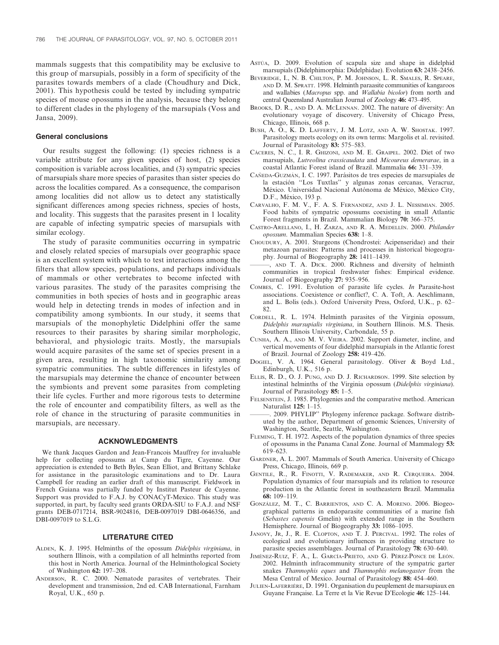mammals suggests that this compatibility may be exclusive to this group of marsupials, possibly in a form of specificity of the parasites towards members of a clade (Choudhury and Dick, 2001). This hypothesis could be tested by including sympatric species of mouse opossums in the analysis, because they belong to different clades in the phylogeny of the marsupials (Voss and Jansa, 2009).

#### General conclusions

Our results suggest the following: (1) species richness is a variable attribute for any given species of host, (2) species composition is variable across localities, and (3) sympatric species of marsupials share more species of parasites than sister species do across the localities compared. As a consequence, the comparison among localities did not allow us to detect any statistically significant differences among species richness, species of hosts, and locality. This suggests that the parasites present in 1 locality are capable of infecting sympatric species of marsupials with similar ecology.

The study of parasite communities occurring in sympatric and closely related species of marsupials over geographic space is an excellent system with which to test interactions among the filters that allow species, populations, and perhaps individuals of mammals or other vertebrates to become infected with various parasites. The study of the parasites comprising the communities in both species of hosts and in geographic areas would help in detecting trends in modes of infection and in compatibility among symbionts. In our study, it seems that marsupials of the monophyletic Didelphini offer the same resources to their parasites by sharing similar morphologic, behavioral, and physiologic traits. Mostly, the marsupials would acquire parasites of the same set of species present in a given area, resulting in high taxonomic similarity among sympatric communities. The subtle differences in lifestyles of the marsupials may determine the chance of encounter between the symbionts and prevent some parasites from completing their life cycles. Further and more rigorous tests to determine the role of encounter and compatibility filters, as well as the role of chance in the structuring of parasite communities in marsupials, are necessary.

#### ACKNOWLEDGMENTS

We thank Jacques Gardon and Jean-Francois Mauffrey for invaluable help for collecting opossums at Camp du Tigre, Cayenne. Our appreciation is extended to Beth Byles, Sean Elliot, and Brittany Schlake for assistance in the parasitologic examinations and to Dr. Laura Campbell for reading an earlier draft of this manuscript. Fieldwork in French Guiana was partially funded by Institut Pasteur de Cayenne. Support was provided to F.A.J. by CONACyT-Mexico. This study was supported, in part, by faculty seed grants ORDA-SIU to F.A.J. and NSF grants DEB-0717214, BSR-9024816, DEB-0097019 DBI-0646356, and DBI-0097019 to S.L.G.

#### LITERATURE CITED

- ALDEN, K. J. 1995. Helminths of the opossum Didelphis virginiana, in southern Illinois, with a compilation of all helminths reported from this host in North America. Journal of the Helminthological Society of Washington 62: 197–208.
- ANDERSON, R. C. 2000. Nematode parasites of vertebrates. Their development and transmission, 2nd ed. CAB International, Farnham Royal, U.K., 650 p.
- ASTÚA, D. 2009. Evolution of scapula size and shape in didelphid marsupials (Didelphimorphia: Didelphidae). Evolution 63: 2438–2456.
- BEVERIDGE, I., N. B. CHILTON, P. M. JOHNSON, L. R. SMALES, R. SPEARE, AND D. M. SPRATT. 1998. Helminth paraasite communities of kangaroos and wallabies (Macropus spp. and Wallabia bicolor) from north and central Queensland Australian Journal of Zoology 46: 473–495.
- BROOKS, D. R., AND D. A. MCLENNAN. 2002. The nature of diversity: An evolutionary voyage of discovery. University of Chicago Press, Chicago, Illinois, 668 p.
- BUSH, A. O., K. D. LAFFERTY, J. M. LOTZ, AND A. W. SHOSTAK. 1997. Parasitology meets ecology on its own terms: Margolis et al. revisited. Journal of Parasitology 83: 575–583.
- CÁCERES, N. C., I. R. GHIZONI, AND M. E. GRAIPEL. 2002. Diet of two marsupials, Lutreolina crassicaudata and Micoureus demerarae, in a coastal Atlantic Forest island of Brazil. Mammalia 66: 331–339.
- CAÑEDA-GUZMÁN, I. C. 1997. Parásitos de tres especies de marsupiales de la estación "Los Tuxtlas" y algunas zonas cercanas, Veracruz, México. Universidad Nacional Autónoma de México, México City, D.F., México, 193 p.
- CARVALHO, F. M. V., F. A. S. FERNANDEZ, AND J. L. NESSIMIAN. 2005. Food habits of sympatric opossums coexisting in small Atlantic Forest fragments in Brazil. Mammalian Biology 70: 366–375.
- CASTRO-ARELLANO, I., H. ZARZA, AND R. A. MEDELLÍN. 2000. Philander opossum. Mammalian Species 638: 1–8.
- CHOUDURY, A. 2001. Sturgeons (Chondrostei: Acipenseridae) and their metazoan parasites: Patterns and processes in historical biogeography. Journal of Biogeography 28: 1411–1439.
- ———, AND T. A. DICK. 2000. Richness and diversity of helminth communities in tropical freshwater fishes: Empirical evidence. Journal of Biogeography 27: 935–956.
- COMBES, C. 1991. Evolution of parasite life cycles. In Parasite-host associations. Coexistence or conflict?, C. A. Toft, A. Aeschlimann, and L. Bolis (eds.). Oxford University Press, Oxford, U.K., p. 62– 82.
- CORDELL, R. L. 1974. Helminth parasites of the Virginia opossum, Didelphis marsupialis virginiana, in Southern Illinois. M.S. Thesis. Southern Illinois University, Carbondale, 55 p.
- CUNHA, A. A., AND M. V. VIEIRA. 2002. Support diameter, incline, and vertical movements of four didelphid marsupials in the Atlantic forest of Brazil. Journal of Zoology 258: 419–426.
- DOGIEL, V. A. 1964. General parasitology. Oliver & Boyd Ltd., Edinburgh, U.K., 516 p.
- ELLIS, R. D., O. J. PUNG, AND D. J. RICHARDSON. 1999. Site selection by intestinal helminths of the Virginia opossum (Didelphis virginiana). Journal of Parasitology 85: 1–5.
- FELSENSTEIN, J. 1985. Phylogenies and the comparative method. American Naturalist 125: 1–15.
- 2009. PHYLIP" Phylogeny inference package. Software distributed by the author, Department of genomic Sciences, University of Washington, Seattle, Seattle, Washington.
- FLEMING, T. H. 1972. Aspects of the population dynamics of three species of opossums in the Panama Canal Zone. Journal of Mammalogy 53: 619–623.
- GARDNER, A. L. 2007. Mammals of South America. University of Chicago Press, Chicago, Illinois, 669 p.
- GENTILE, R., R. FINOTTI, V. RADEMAKER, AND R. CERQUEIRA. 2004. Population dynamics of four marsupials and its relation to resource production in the Atlantic forest in southeastern Brazil. Mammalia 68: 109–119.
- GONZÁLEZ, M. T., C. BARRIENTOS, AND C. A. MORENO. 2006. Biogeographical patterns in endoparasite communities of a marine fish (Sebastes capensis Gmelin) with extended range in the Southern Hemisphere. Journal of Biogeography 33: 1086–1095.
- JANOVY, JR, J., R. E. CLOPTON, AND T. J. PERCIVAL. 1992. The roles of ecological and evolutionary influences in providing structure to parasite species assemblages. Journal of Parasitology 78: 630–640.
- JIMÉNEZ-RUIZ, F. A., L. GARCÍA-PRIETO, AND G. PÉREZ-PONCE DE LEÓN. 2002. Helminth infracommunity structure of the sympatric garter snakes Thamnophis eques and Thamnophis melanogaster from the Mesa Central of Mexico. Journal of Parasitology 88: 454–460.
- JULIEN-LAFERRIÈRE, D. 1991. Organisation du peuplement de marsupiaux en Guyane Française. La Terre et la Vie Revue D'Ecologie 46: 125–144.